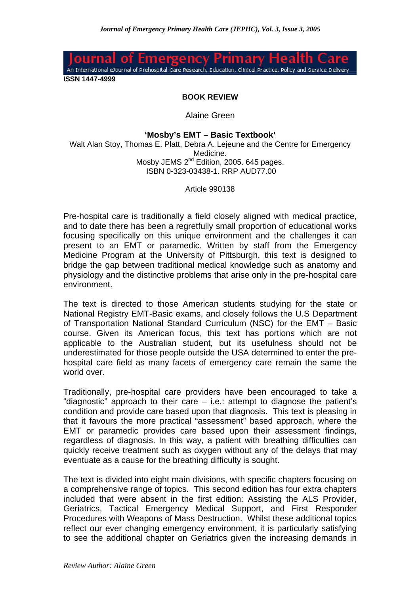

**ISSN 1447-4999**

## **BOOK REVIEW**

Alaine Green

## **'Mosby's EMT – Basic Textbook'**

Walt Alan Stoy, Thomas E. Platt, Debra A. Leieune and the Centre for Emergency Medicine. Mosby JEMS 2<sup>nd</sup> Edition, 2005. 645 pages. ISBN 0-323-03438-1. RRP AUD77.00

Article 990138

Pre-hospital care is traditionally a field closely aligned with medical practice, and to date there has been a regretfully small proportion of educational works focusing specifically on this unique environment and the challenges it can present to an EMT or paramedic. Written by staff from the Emergency Medicine Program at the University of Pittsburgh, this text is designed to bridge the gap between traditional medical knowledge such as anatomy and physiology and the distinctive problems that arise only in the pre-hospital care environment.

The text is directed to those American students studying for the state or National Registry EMT-Basic exams, and closely follows the U.S Department of Transportation National Standard Curriculum (NSC) for the EMT – Basic course. Given its American focus, this text has portions which are not applicable to the Australian student, but its usefulness should not be underestimated for those people outside the USA determined to enter the prehospital care field as many facets of emergency care remain the same the world over.

Traditionally, pre-hospital care providers have been encouraged to take a "diagnostic" approach to their care – i.e.: attempt to diagnose the patient's condition and provide care based upon that diagnosis. This text is pleasing in that it favours the more practical "assessment" based approach, where the EMT or paramedic provides care based upon their assessment findings, regardless of diagnosis. In this way, a patient with breathing difficulties can quickly receive treatment such as oxygen without any of the delays that may eventuate as a cause for the breathing difficulty is sought.

The text is divided into eight main divisions, with specific chapters focusing on a comprehensive range of topics. This second edition has four extra chapters included that were absent in the first edition: Assisting the ALS Provider, Geriatrics, Tactical Emergency Medical Support, and First Responder Procedures with Weapons of Mass Destruction. Whilst these additional topics reflect our ever changing emergency environment, it is particularly satisfying to see the additional chapter on Geriatrics given the increasing demands in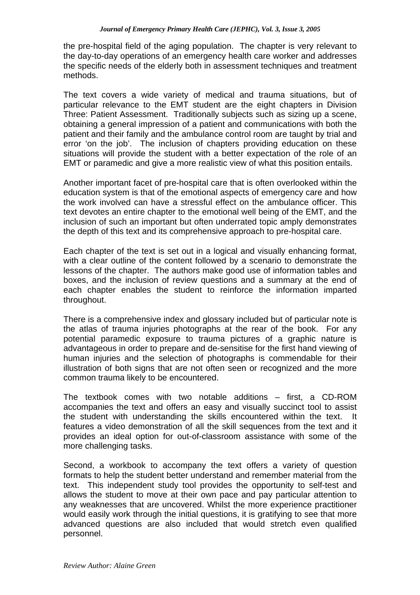the pre-hospital field of the aging population. The chapter is very relevant to the day-to-day operations of an emergency health care worker and addresses the specific needs of the elderly both in assessment techniques and treatment methods.

The text covers a wide variety of medical and trauma situations, but of particular relevance to the EMT student are the eight chapters in Division Three: Patient Assessment. Traditionally subjects such as sizing up a scene, obtaining a general impression of a patient and communications with both the patient and their family and the ambulance control room are taught by trial and error 'on the job'. The inclusion of chapters providing education on these situations will provide the student with a better expectation of the role of an EMT or paramedic and give a more realistic view of what this position entails.

Another important facet of pre-hospital care that is often overlooked within the education system is that of the emotional aspects of emergency care and how the work involved can have a stressful effect on the ambulance officer. This text devotes an entire chapter to the emotional well being of the EMT, and the inclusion of such an important but often underrated topic amply demonstrates the depth of this text and its comprehensive approach to pre-hospital care.

Each chapter of the text is set out in a logical and visually enhancing format, with a clear outline of the content followed by a scenario to demonstrate the lessons of the chapter. The authors make good use of information tables and boxes, and the inclusion of review questions and a summary at the end of each chapter enables the student to reinforce the information imparted throughout.

There is a comprehensive index and glossary included but of particular note is the atlas of trauma injuries photographs at the rear of the book. For any potential paramedic exposure to trauma pictures of a graphic nature is advantageous in order to prepare and de-sensitise for the first hand viewing of human injuries and the selection of photographs is commendable for their illustration of both signs that are not often seen or recognized and the more common trauma likely to be encountered.

The textbook comes with two notable additions – first, a CD-ROM accompanies the text and offers an easy and visually succinct tool to assist the student with understanding the skills encountered within the text. It features a video demonstration of all the skill sequences from the text and it provides an ideal option for out-of-classroom assistance with some of the more challenging tasks.

Second, a workbook to accompany the text offers a variety of question formats to help the student better understand and remember material from the text. This independent study tool provides the opportunity to self-test and allows the student to move at their own pace and pay particular attention to any weaknesses that are uncovered. Whilst the more experience practitioner would easily work through the initial questions, it is gratifying to see that more advanced questions are also included that would stretch even qualified personnel.